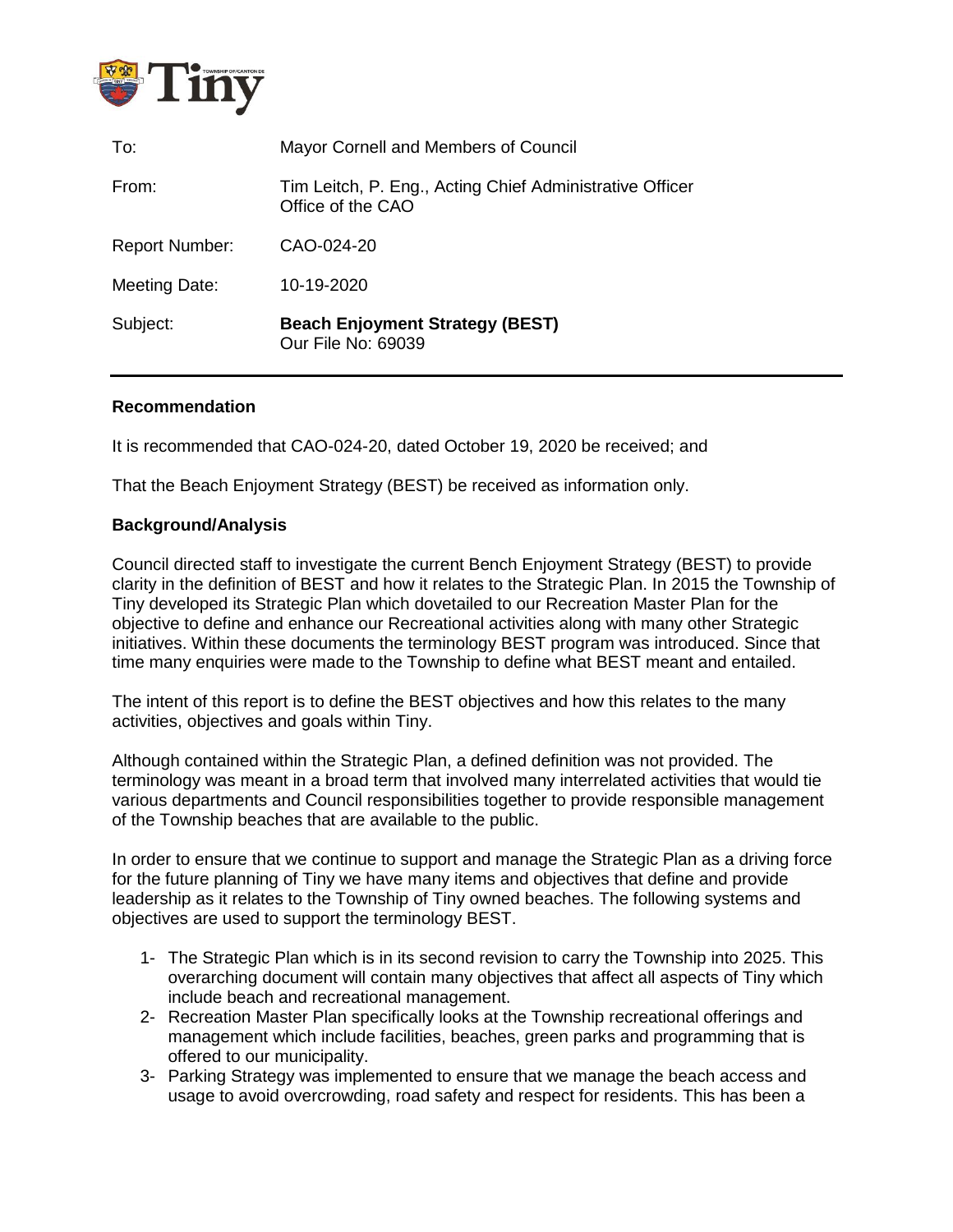

| To:                   | Mayor Cornell and Members of Council                                          |
|-----------------------|-------------------------------------------------------------------------------|
| From:                 | Tim Leitch, P. Eng., Acting Chief Administrative Officer<br>Office of the CAO |
| <b>Report Number:</b> | CAO-024-20                                                                    |
| Meeting Date:         | 10-19-2020                                                                    |
| Subject:              | <b>Beach Enjoyment Strategy (BEST)</b><br>Our File No: 69039                  |

#### **Recommendation**

It is recommended that CAO-024-20, dated October 19, 2020 be received; and

That the Beach Enjoyment Strategy (BEST) be received as information only.

#### **Background/Analysis**

Council directed staff to investigate the current Bench Enjoyment Strategy (BEST) to provide clarity in the definition of BEST and how it relates to the Strategic Plan. In 2015 the Township of Tiny developed its Strategic Plan which dovetailed to our Recreation Master Plan for the objective to define and enhance our Recreational activities along with many other Strategic initiatives. Within these documents the terminology BEST program was introduced. Since that time many enquiries were made to the Township to define what BEST meant and entailed.

The intent of this report is to define the BEST objectives and how this relates to the many activities, objectives and goals within Tiny.

Although contained within the Strategic Plan, a defined definition was not provided. The terminology was meant in a broad term that involved many interrelated activities that would tie various departments and Council responsibilities together to provide responsible management of the Township beaches that are available to the public.

In order to ensure that we continue to support and manage the Strategic Plan as a driving force for the future planning of Tiny we have many items and objectives that define and provide leadership as it relates to the Township of Tiny owned beaches. The following systems and objectives are used to support the terminology BEST.

- 1- The Strategic Plan which is in its second revision to carry the Township into 2025. This overarching document will contain many objectives that affect all aspects of Tiny which include beach and recreational management.
- 2- Recreation Master Plan specifically looks at the Township recreational offerings and management which include facilities, beaches, green parks and programming that is offered to our municipality.
- 3- Parking Strategy was implemented to ensure that we manage the beach access and usage to avoid overcrowding, road safety and respect for residents. This has been a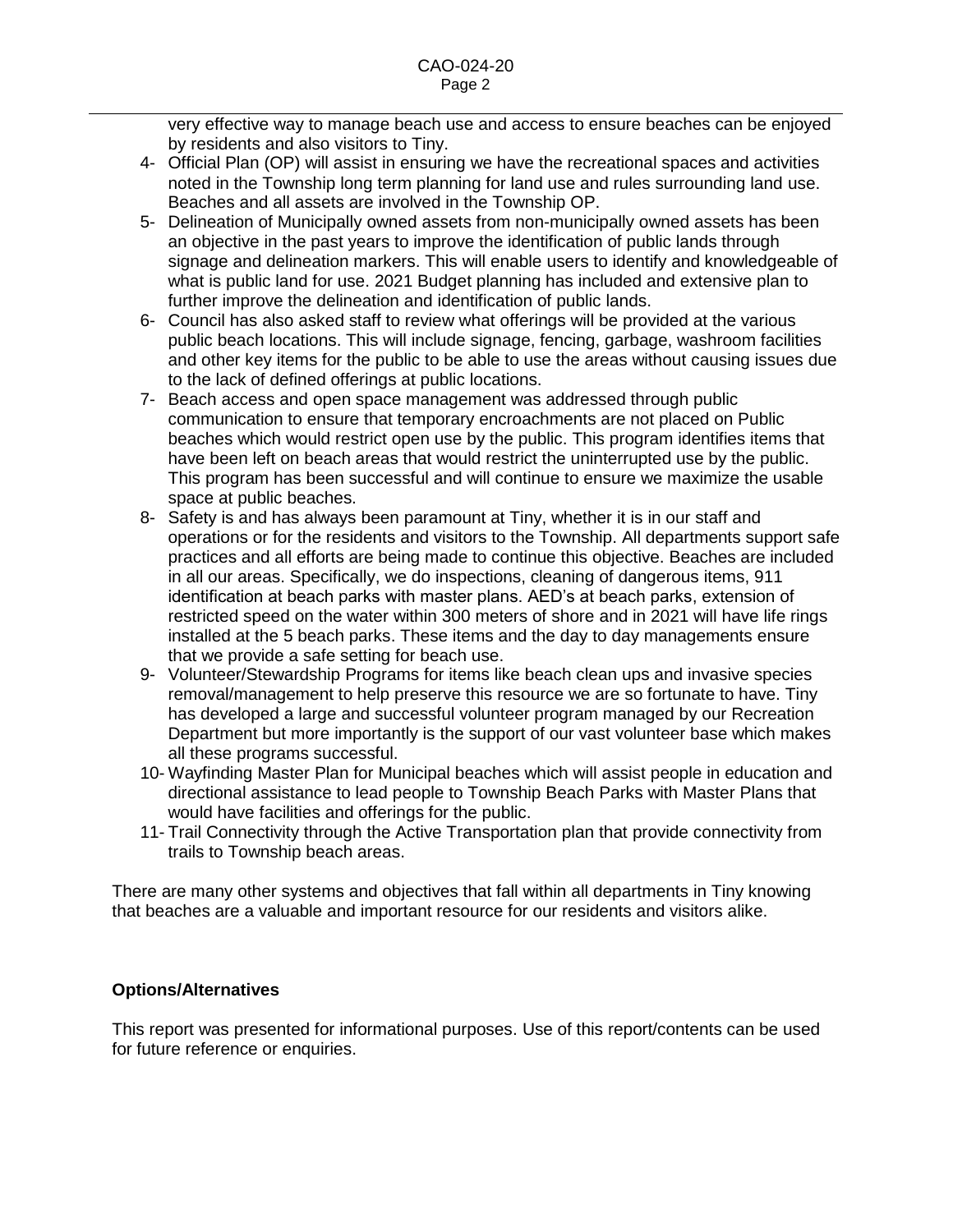very effective way to manage beach use and access to ensure beaches can be enjoyed by residents and also visitors to Tiny.

- 4- Official Plan (OP) will assist in ensuring we have the recreational spaces and activities noted in the Township long term planning for land use and rules surrounding land use. Beaches and all assets are involved in the Township OP.
- 5- Delineation of Municipally owned assets from non-municipally owned assets has been an objective in the past years to improve the identification of public lands through signage and delineation markers. This will enable users to identify and knowledgeable of what is public land for use. 2021 Budget planning has included and extensive plan to further improve the delineation and identification of public lands.
- 6- Council has also asked staff to review what offerings will be provided at the various public beach locations. This will include signage, fencing, garbage, washroom facilities and other key items for the public to be able to use the areas without causing issues due to the lack of defined offerings at public locations.
- 7- Beach access and open space management was addressed through public communication to ensure that temporary encroachments are not placed on Public beaches which would restrict open use by the public. This program identifies items that have been left on beach areas that would restrict the uninterrupted use by the public. This program has been successful and will continue to ensure we maximize the usable space at public beaches.
- 8- Safety is and has always been paramount at Tiny, whether it is in our staff and operations or for the residents and visitors to the Township. All departments support safe practices and all efforts are being made to continue this objective. Beaches are included in all our areas. Specifically, we do inspections, cleaning of dangerous items, 911 identification at beach parks with master plans. AED's at beach parks, extension of restricted speed on the water within 300 meters of shore and in 2021 will have life rings installed at the 5 beach parks. These items and the day to day managements ensure that we provide a safe setting for beach use.
- 9- Volunteer/Stewardship Programs for items like beach clean ups and invasive species removal/management to help preserve this resource we are so fortunate to have. Tiny has developed a large and successful volunteer program managed by our Recreation Department but more importantly is the support of our vast volunteer base which makes all these programs successful.
- 10- Wayfinding Master Plan for Municipal beaches which will assist people in education and directional assistance to lead people to Township Beach Parks with Master Plans that would have facilities and offerings for the public.
- 11- Trail Connectivity through the Active Transportation plan that provide connectivity from trails to Township beach areas.

There are many other systems and objectives that fall within all departments in Tiny knowing that beaches are a valuable and important resource for our residents and visitors alike.

# **Options/Alternatives**

This report was presented for informational purposes. Use of this report/contents can be used for future reference or enquiries.